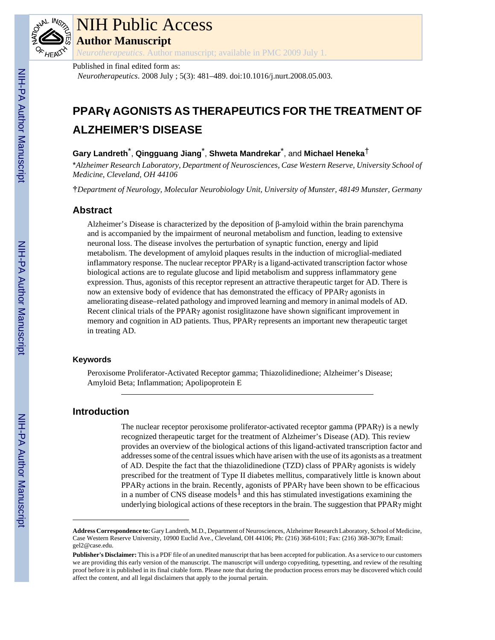

# NIH Public Access

**Author Manuscript**

*Neurotherapeutics*. Author manuscript; available in PMC 2009 July 1.

#### Published in final edited form as:

*Neurotherapeutics*. 2008 July ; 5(3): 481–489. doi:10.1016/j.nurt.2008.05.003.

## **PPARγ AGONISTS AS THERAPEUTICS FOR THE TREATMENT OF ALZHEIMER'S DISEASE**

## **Gary Landreth**\* , **Qingguang Jiang**\* , **Shweta Mandrekar**\* , and **Michael Heneka**†

\**Alzheimer Research Laboratory, Department of Neurosciences, Case Western Reserve, University School of Medicine, Cleveland, OH 44106*

†*Department of Neurology, Molecular Neurobiology Unit, University of Munster, 48149 Munster, Germany*

## **Abstract**

Alzheimer's Disease is characterized by the deposition of β-amyloid within the brain parenchyma and is accompanied by the impairment of neuronal metabolism and function, leading to extensive neuronal loss. The disease involves the perturbation of synaptic function, energy and lipid metabolism. The development of amyloid plaques results in the induction of microglial-mediated inflammatory response. The nuclear receptor  $PPAR\gamma$  is a ligand-activated transcription factor whose biological actions are to regulate glucose and lipid metabolism and suppress inflammatory gene expression. Thus, agonists of this receptor represent an attractive therapeutic target for AD. There is now an extensive body of evidence that has demonstrated the efficacy of PPARγ agonists in ameliorating disease–related pathology and improved learning and memory in animal models of AD. Recent clinical trials of the PPARγ agonist rosiglitazone have shown significant improvement in memory and cognition in AD patients. Thus, PPARγ represents an important new therapeutic target in treating AD.

### **Keywords**

Peroxisome Proliferator-Activated Receptor gamma; Thiazolidinedione; Alzheimer's Disease; Amyloid Beta; Inflammation; Apolipoprotein E

## **Introduction**

The nuclear receptor peroxisome proliferator-activated receptor gamma (PPARγ) is a newly recognized therapeutic target for the treatment of Alzheimer's Disease (AD). This review provides an overview of the biological actions of this ligand-activated transcription factor and addresses some of the central issues which have arisen with the use of its agonists as a treatment of AD. Despite the fact that the thiazolidinedione (TZD) class of PPARγ agonists is widely prescribed for the treatment of Type II diabetes mellitus, comparatively little is known about PPARγ actions in the brain. Recently, agonists of PPARγ have been shown to be efficacious in a number of CNS disease models<sup>1</sup> and this has stimulated investigations examining the underlying biological actions of these receptors in the brain. The suggestion that  $PPAR\gamma$  might

**Address Correspondence to:** Gary Landreth, M.D., Department of Neurosciences, Alzheimer Research Laboratory, School of Medicine, Case Western Reserve University, 10900 Euclid Ave., Cleveland, OH 44106; Ph: (216) 368-6101; Fax: (216) 368-3079; Email: gel2@case.edu.

**Publisher's Disclaimer:** This is a PDF file of an unedited manuscript that has been accepted for publication. As a service to our customers we are providing this early version of the manuscript. The manuscript will undergo copyediting, typesetting, and review of the resulting proof before it is published in its final citable form. Please note that during the production process errors may be discovered which could affect the content, and all legal disclaimers that apply to the journal pertain.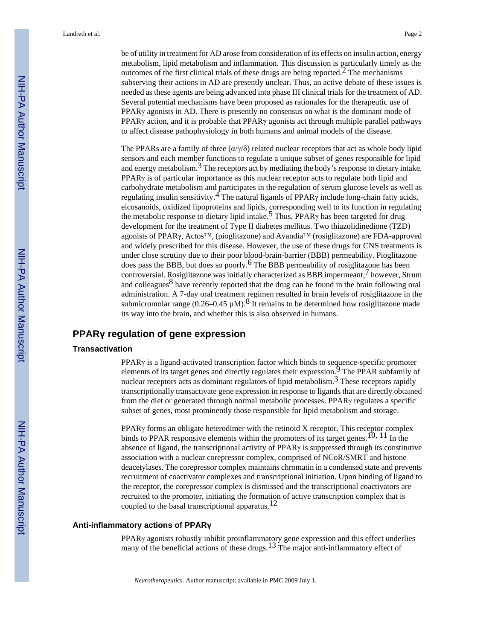be of utility in treatment for AD arose from consideration of its effects on insulin action, energy metabolism, lipid metabolism and inflammation. This discussion is particularly timely as the outcomes of the first clinical trials of these drugs are being reported.<sup>2</sup> The mechanisms subserving their actions in AD are presently unclear. Thus, an active debate of these issues is needed as these agents are being advanced into phase III clinical trials for the treatment of AD. Several potential mechanisms have been proposed as rationales for the therapeutic use of  $PPAR\gamma$  agonists in AD. There is presently no consensus on what is the dominant mode of PPAR<sub>Y</sub> action, and it is probable that PPAR<sub>Y</sub> agonists act through multiple parallel pathways to affect disease pathophysiology in both humans and animal models of the disease.

The PPARs are a family of three  $(\alpha/\gamma/\delta)$  related nuclear receptors that act as whole body lipid sensors and each member functions to regulate a unique subset of genes responsible for lipid and energy metabolism.<sup>3</sup> The receptors act by mediating the body's response to dietary intake. PPARγ is of particular importance as this nuclear receptor acts to regulate both lipid and carbohydrate metabolism and participates in the regulation of serum glucose levels as well as regulating insulin sensitivity.<sup>4</sup> The natural ligands of PPAR $\gamma$  include long-chain fatty acids, eicosanoids, oxidized lipoproteins and lipids, corresponding well to its function in regulating the metabolic response to dietary lipid intake.<sup>5</sup> Thus, PPAR $\gamma$  has been targeted for drug development for the treatment of Type II diabetes mellitus. Two thiazolidinedione (TZD) agonists of PPARγ, Actos™, (pioglitazone) and Avandia™ (rosiglitazone) are FDA-approved and widely prescribed for this disease. However, the use of these drugs for CNS treatments is under close scrutiny due to their poor blood-brain-barrier (BBB) permeability. Pioglitazone does pass the BBB, but does so poorly.<sup>6</sup> The BBB permeability of rosiglitazone has been controversial. Rosiglitazone was initially characterized as BBB impermeant;  $\frac{7}{7}$  however, Strum and colleagues $8$  have recently reported that the drug can be found in the brain following oral administration. A 7-day oral treatment regimen resulted in brain levels of rosiglitazone in the submicromolar range (0.26–0.45  $\mu$ M).<sup>8</sup> It remains to be determined how rosiglitazone made its way into the brain, and whether this is also observed in humans.

## **PPARγ regulation of gene expression**

#### **Transactivation**

PPARγ is a ligand-activated transcription factor which binds to sequence-specific promoter elements of its target genes and directly regulates their expression.<sup>9</sup> The PPAR subfamily of nuclear receptors acts as dominant regulators of lipid metabolism.<sup>3</sup> These receptors rapidly transcriptionally transactivate gene expression in response to ligands that are directly obtained from the diet or generated through normal metabolic processes. PPARγ regulates a specific subset of genes, most prominently those responsible for lipid metabolism and storage.

PPARγ forms an obligate heterodimer with the retinoid X receptor. This receptor complex binds to PPAR responsive elements within the promoters of its target genes.<sup>10, 11</sup> In the absence of ligand, the transcriptional activity of PPARγ is suppressed through its constitutive association with a nuclear corepressor complex, comprised of NCoR/SMRT and histone deacetylases. The corepressor complex maintains chromatin in a condensed state and prevents recruitment of coactivator complexes and transcriptional initiation. Upon binding of ligand to the receptor, the corepressor complex is dismissed and the transcriptional coactivators are recruited to the promoter, initiating the formation of active transcription complex that is coupled to the basal transcriptional apparatus.<sup>12</sup>

#### **Anti-inflammatory actions of PPARγ**

PPARγ agonists robustly inhibit proinflammatory gene expression and this effect underlies many of the beneficial actions of these drugs.<sup>13</sup> The major anti-inflammatory effect of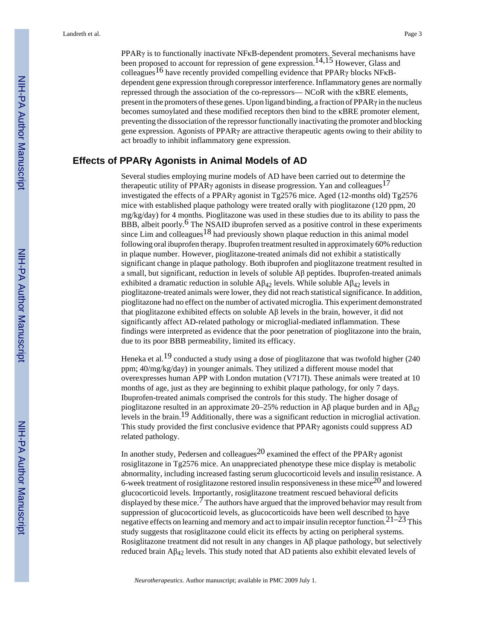PPARγ is to functionally inactivate NFκB-dependent promoters. Several mechanisms have been proposed to account for repression of gene expression.<sup>14,15</sup> However, Glass and colleagues<sup>16</sup> have recently provided compelling evidence that PPAR<sub>Y</sub> blocks NF<sub>K</sub>Bdependent gene expression through corepressor interference. Inflammatory genes are normally repressed through the association of the co-repressors— NCoR with the κBRE elements, present in the promoters of these genes. Upon ligand binding, a fraction of PPARγ in the nucleus becomes sumoylated and these modified receptors then bind to the κBRE promoter element, preventing the dissociation of the repressor functionally inactivating the promoter and blocking gene expression. Agonists of PPARγ are attractive therapeutic agents owing to their ability to act broadly to inhibit inflammatory gene expression.

## **Effects of PPARγ Agonists in Animal Models of AD**

Several studies employing murine models of AD have been carried out to determine the therapeutic utility of PPAR $\gamma$  agonists in disease progression. Yan and colleagues<sup>17</sup> investigated the effects of a PPARγ agonist in Tg2576 mice. Aged (12-months old) Tg2576 mice with established plaque pathology were treated orally with pioglitazone (120 ppm, 20 mg/kg/day) for 4 months. Pioglitazone was used in these studies due to its ability to pass the BBB, albeit poorly.<sup>6</sup> The NSAID ibuprofen served as a positive control in these experiments since Lim and colleagues<sup>18</sup> had previously shown plaque reduction in this animal model following oral ibuprofen therapy. Ibuprofen treatment resulted in approximately 60% reduction in plaque number. However, pioglitazone-treated animals did not exhibit a statistically significant change in plaque pathology. Both ibuprofen and pioglitazone treatment resulted in a small, but significant, reduction in levels of soluble Aβ peptides. Ibuprofen-treated animals exhibited a dramatic reduction in soluble  $\mathcal{A}\beta_{42}$  levels. While soluble  $\mathcal{A}\beta_{42}$  levels in pioglitazone-treated animals were lower, they did not reach statistical significance. In addition, pioglitazone had no effect on the number of activated microglia. This experiment demonstrated that pioglitazone exhibited effects on soluble Aβ levels in the brain, however, it did not significantly affect AD-related pathology or microglial-mediated inflammation. These findings were interpreted as evidence that the poor penetration of pioglitazone into the brain, due to its poor BBB permeability, limited its efficacy.

Heneka et al.<sup>19</sup> conducted a study using a dose of pioglitazone that was twofold higher (240) ppm; 40/mg/kg/day) in younger animals. They utilized a different mouse model that overexpresses human APP with London mutation (V717I). These animals were treated at 10 months of age, just as they are beginning to exhibit plaque pathology, for only 7 days. Ibuprofen-treated animals comprised the controls for this study. The higher dosage of pioglitazone resulted in an approximate 20–25% reduction in A $\beta$  plaque burden and in A $\beta_{42}$ levels in the brain.19 Additionally, there was a significant reduction in microglial activation. This study provided the first conclusive evidence that PPARγ agonists could suppress AD related pathology.

In another study, Pedersen and colleagues<sup>20</sup> examined the effect of the PPAR<sub>Y</sub> agonist rosiglitazone in Tg2576 mice. An unappreciated phenotype these mice display is metabolic abnormality, including increased fasting serum glucocorticoid levels and insulin resistance. A 6-week treatment of rosiglitazone restored insulin responsiveness in these mice<sup>20</sup> and lowered glucocorticoid levels. Importantly, rosiglitazone treatment rescued behavioral deficits displayed by these mice.<sup> $7$ </sup> The authors have argued that the improved behavior may result from suppression of glucocorticoid levels, as glucocorticoids have been well described to have negative effects on learning and memory and act to impair insulin receptor function.<sup>21–23</sup> This study suggests that rosiglitazone could elicit its effects by acting on peripheral systems. Rosiglitazone treatment did not result in any changes in Aβ plaque pathology, but selectively reduced brain Aβ42 levels. This study noted that AD patients also exhibit elevated levels of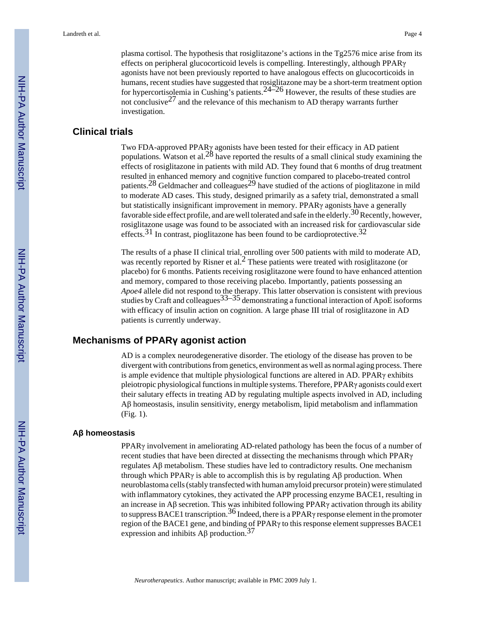plasma cortisol. The hypothesis that rosiglitazone's actions in the Tg2576 mice arise from its effects on peripheral glucocorticoid levels is compelling. Interestingly, although PPARγ agonists have not been previously reported to have analogous effects on glucocorticoids in humans, recent studies have suggested that rosiglitazone may be a short-term treatment option for hypercortisolemia in Cushing's patients.24–26 However, the results of these studies are not conclusive<sup>27</sup> and the relevance of this mechanism to AD therapy warrants further investigation.

#### **Clinical trials**

Two FDA-approved PPARγ agonists have been tested for their efficacy in AD patient populations. Watson et al.<sup>28</sup> have reported the results of a small clinical study examining the effects of rosiglitazone in patients with mild AD. They found that 6 months of drug treatment resulted in enhanced memory and cognitive function compared to placebo-treated control patients.<sup>28</sup> Geldmacher and colleagues<sup>29</sup> have studied of the actions of pioglitazone in mild to moderate AD cases. This study, designed primarily as a safety trial, demonstrated a small but statistically insignificant improvement in memory. PPARγ agonists have a generally favorable side effect profile, and are well tolerated and safe in the elderly. <sup>30</sup> Recently, however, rosiglitazone usage was found to be associated with an increased risk for cardiovascular side effects.<sup>31</sup> In contrast, pioglitazone has been found to be cardioprotective.<sup>32</sup>

The results of a phase II clinical trial, enrolling over 500 patients with mild to moderate AD, was recently reported by Risner et al.<sup>2</sup> These patients were treated with rosiglitazone (or placebo) for 6 months. Patients receiving rosiglitazone were found to have enhanced attention and memory, compared to those receiving placebo. Importantly, patients possessing an *Apoe4* allele did not respond to the therapy. This latter observation is consistent with previous studies by Craft and colleagues  $33-35$  demonstrating a functional interaction of ApoE isoforms with efficacy of insulin action on cognition. A large phase III trial of rosiglitazone in AD patients is currently underway.

#### **Mechanisms of PPARγ agonist action**

AD is a complex neurodegenerative disorder. The etiology of the disease has proven to be divergent with contributions from genetics, environment as well as normal aging process. There is ample evidence that multiple physiological functions are altered in AD. PPARγ exhibits pleiotropic physiological functions in multiple systems. Therefore, PPARγ agonists could exert their salutary effects in treating AD by regulating multiple aspects involved in AD, including Aβ homeostasis, insulin sensitivity, energy metabolism, lipid metabolism and inflammation (Fig. 1).

#### **Aβ homeostasis**

PPAR $\gamma$  involvement in ameliorating AD-related pathology has been the focus of a number of recent studies that have been directed at dissecting the mechanisms through which PPARγ regulates Aβ metabolism. These studies have led to contradictory results. One mechanism through which PPAR $\gamma$  is able to accomplish this is by regulating A $\beta$  production. When neuroblastoma cells (stably transfected with human amyloid precursor protein) were stimulated with inflammatory cytokines, they activated the APP processing enzyme BACE1, resulting in an increase in Aβ secretion. This was inhibited following PPARγ activation through its ability to suppress BACE1 transcription.<sup>36</sup> Indeed, there is a PPAR<sub>Y</sub> response element in the promoter region of the BACE1 gene, and binding of PPARγ to this response element suppresses BACE1 expression and inhibits  $\text{A}$ β production.<sup>37</sup>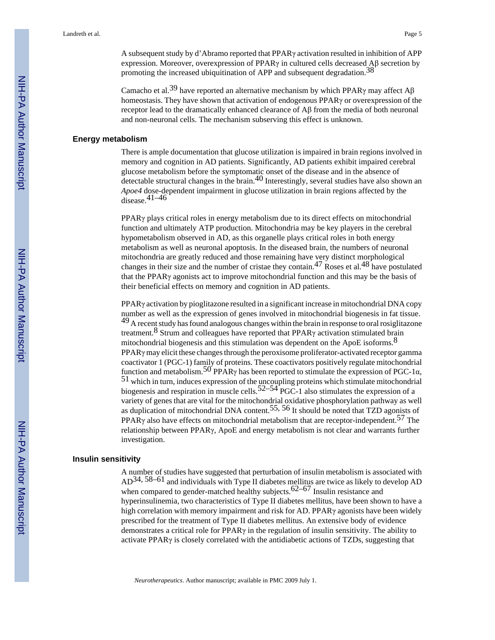A subsequent study by d'Abramo reported that PPARγ activation resulted in inhibition of APP expression. Moreover, overexpression of PPARγ in cultured cells decreased Aβ secretion by promoting the increased ubiquitination of APP and subsequent degradation.<sup>38</sup>

Camacho et al.<sup>39</sup> have reported an alternative mechanism by which PPAR<sub>γ</sub> may affect A<sub>β</sub> homeostasis. They have shown that activation of endogenous PPARγ or overexpression of the receptor lead to the dramatically enhanced clearance of Aβ from the media of both neuronal and non-neuronal cells. The mechanism subserving this effect is unknown.

#### **Energy metabolism**

There is ample documentation that glucose utilization is impaired in brain regions involved in memory and cognition in AD patients. Significantly, AD patients exhibit impaired cerebral glucose metabolism before the symptomatic onset of the disease and in the absence of detectable structural changes in the brain.<sup>40</sup> Interestingly, several studies have also shown an *Apoe4* dose-dependent impairment in glucose utilization in brain regions affected by the  $\frac{1}{\text{disease}}$ . 41–46

PPARγ plays critical roles in energy metabolism due to its direct effects on mitochondrial function and ultimately ATP production. Mitochondria may be key players in the cerebral hypometabolism observed in AD, as this organelle plays critical roles in both energy metabolism as well as neuronal apoptosis. In the diseased brain, the numbers of neuronal mitochondria are greatly reduced and those remaining have very distinct morphological changes in their size and the number of cristae they contain.<sup>47</sup> Roses et al.<sup>48</sup> have postulated that the PPARγ agonists act to improve mitochondrial function and this may be the basis of their beneficial effects on memory and cognition in AD patients.

PPARγ activation by pioglitazone resulted in a significant increase in mitochondrial DNA copy number as well as the expression of genes involved in mitochondrial biogenesis in fat tissue.  $^{49}$  A recent study has found analogous changes within the brain in response to oral rosiglitazone treatment.8 Strum and colleagues have reported that PPARγ activation stimulated brain mitochondrial biogenesis and this stimulation was dependent on the ApoE isoforms.<sup>8</sup>  $PPAR\gamma$  may elicit these changes through the peroxisome proliferator-activated receptor gamma coactivator 1 (PGC-1) family of proteins. These coactivators positively regulate mitochondrial function and metabolism.<sup>50</sup> PPAR<sub>Y</sub> has been reported to stimulate the expression of PGC-1 $\alpha$ , <sup>51</sup> which in turn, induces expression of the uncoupling proteins which stimulate mitochondrial biogenesis and respiration in muscle cells.<sup>52–54</sup> PGC-1 also stimulates the expression of a variety of genes that are vital for the mitochondrial oxidative phosphorylation pathway as well as duplication of mitochondrial DNA content.55, 56 It should be noted that TZD agonists of PPAR<sub>γ</sub> also have effects on mitochondrial metabolism that are receptor-independent.<sup>57</sup> The relationship between PPARγ, ApoE and energy metabolism is not clear and warrants further investigation.

#### **Insulin sensitivity**

A number of studies have suggested that perturbation of insulin metabolism is associated with AD34, 58–61 and individuals with Type II diabetes mellitus are twice as likely to develop AD when compared to gender-matched healthy subjects. $62-67$  Insulin resistance and hyperinsulinemia, two characteristics of Type II diabetes mellitus, have been shown to have a high correlation with memory impairment and risk for AD. PPARγ agonists have been widely prescribed for the treatment of Type II diabetes mellitus. An extensive body of evidence demonstrates a critical role for PPARγ in the regulation of insulin sensitivity. The ability to activate PPARγ is closely correlated with the antidiabetic actions of TZDs, suggesting that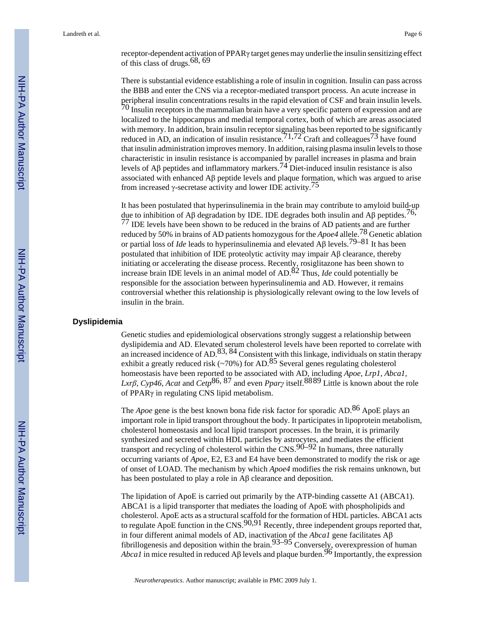receptor-dependent activation of PPARγ target genes may underlie the insulin sensitizing effect of this class of drugs.<sup>68, 69</sup>

There is substantial evidence establishing a role of insulin in cognition. Insulin can pass across the BBB and enter the CNS via a receptor-mediated transport process. An acute increase in peripheral insulin concentrations results in the rapid elevation of CSF and brain insulin levels.  $70$  Insulin receptors in the mammalian brain have a very specific pattern of expression and are localized to the hippocampus and medial temporal cortex, both of which are areas associated with memory. In addition, brain insulin receptor signaling has been reported to be significantly reduced in AD, an indication of insulin resistance.<sup>71,72</sup> Craft and colleagues<sup>73</sup> have found that insulin administration improves memory. In addition, raising plasma insulin levels to those characteristic in insulin resistance is accompanied by parallel increases in plasma and brain levels of Aβ peptides and inflammatory markers.<sup>74</sup> Diet-induced insulin resistance is also associated with enhanced Aβ peptide levels and plaque formation, which was argued to arise from increased γ-secretase activity and lower IDE activity.75

It has been postulated that hyperinsulinemia in the brain may contribute to amyloid build-up due to inhibition of Aβ degradation by IDE. IDE degrades both insulin and Aβ peptides.<sup>76,</sup> <sup>77</sup> IDE levels have been shown to be reduced in the brains of AD patients and are further reduced by 50% in brains of AD patients homozygous for the *Apoe4* allele.78 Genetic ablation or partial loss of *Ide* leads to hyperinsulinemia and elevated Aβ levels.79–81 It has been postulated that inhibition of IDE proteolytic activity may impair Aβ clearance, thereby initiating or accelerating the disease process. Recently, rosiglitazone has been shown to increase brain IDE levels in an animal model of AD.82 Thus, *Ide* could potentially be responsible for the association between hyperinsulinemia and AD. However, it remains controversial whether this relationship is physiologically relevant owing to the low levels of insulin in the brain.

#### **Dyslipidemia**

Genetic studies and epidemiological observations strongly suggest a relationship between dyslipidemia and AD. Elevated serum cholesterol levels have been reported to correlate with an increased incidence of  $AD$ ,  $83$ ,  $84$  Consistent with this linkage, individuals on statin therapy exhibit a greatly reduced risk (~70%) for AD.<sup>85</sup> Several genes regulating cholesterol homeostasis have been reported to be associated with AD, including *Apoe, Lrp1, Abca1, Lxrβ, Cyp46, Acat* and *Cetp*86, 87 and even *Pparγ̣* itself.8889 Little is known about the role of PPARγ in regulating CNS lipid metabolism.

The *Apoe* gene is the best known bona fide risk factor for sporadic AD.<sup>86</sup> ApoE plays an important role in lipid transport throughout the body. It participates in lipoprotein metabolism, cholesterol homeostasis and local lipid transport processes. In the brain, it is primarily synthesized and secreted within HDL particles by astrocytes, and mediates the efficient transport and recycling of cholesterol within the  $\text{CNS}.90-92$  In humans, three naturally occurring variants of *Apoe*, E2, E3 and E4 have been demonstrated to modify the risk or age of onset of LOAD. The mechanism by which *Apoe4* modifies the risk remains unknown, but has been postulated to play a role in Aβ clearance and deposition.

The lipidation of ApoE is carried out primarily by the ATP-binding cassette A1 (ABCA1). ABCA1 is a lipid transporter that mediates the loading of ApoE with phospholipids and cholesterol. ApoE acts as a structural scaffold for the formation of HDL particles. ABCA1 acts to regulate ApoE function in the  $CNS$ .<sup>90,91</sup> Recently, three independent groups reported that, in four different animal models of AD, inactivation of the *Abca1* gene facilitates Aβ fibrillogenesis and deposition within the brain. $93-95$  Conversely, overexpression of human *Abca1* in mice resulted in reduced A $\beta$  levels and plaque burden.<sup>96</sup> Importantly, the expression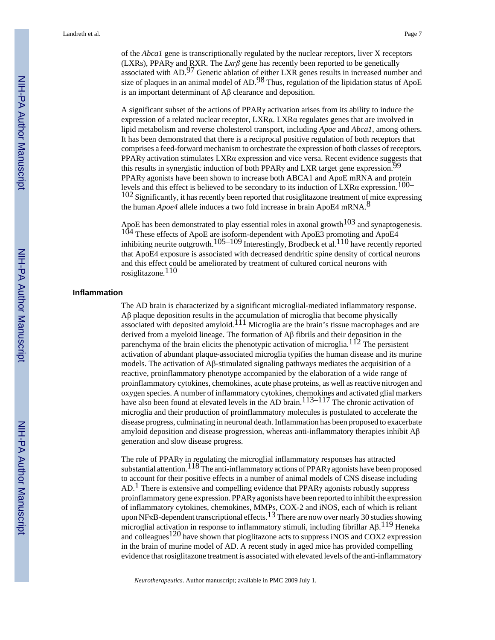of the *Abca1* gene is transcriptionally regulated by the nuclear receptors, liver X receptors (LXRs), PPARγ̣ and RXR. The *Lxrβ* gene has recently been reported to be genetically associated with AD.97 Genetic ablation of either LXR genes results in increased number and size of plaques in an animal model of AD.<sup>98</sup> Thus, regulation of the lipidation status of ApoE is an important determinant of Aβ clearance and deposition.

A significant subset of the actions of PPARγ activation arises from its ability to induce the expression of a related nuclear receptor, LXRα. LXRα regulates genes that are involved in lipid metabolism and reverse cholesterol transport, including *Apoe* and *Abca1*, among others. It has been demonstrated that there is a reciprocal positive regulation of both receptors that comprises a feed-forward mechanism to orchestrate the expression of both classes of receptors. PPARγ activation stimulates LXRα expression and vice versa. Recent evidence suggests that this results in synergistic induction of both PPAR $\gamma$  and LXR target gene expression. PPARγ agonists have been shown to increase both ABCA1 and ApoE mRNA and protein levels and this effect is believed to be secondary to its induction of LXR $\alpha$  expression.<sup>100–</sup> <sup>102</sup> Significantly, it has recently been reported that rosiglitazone treatment of mice expressing the human *Apoe4* allele induces a two fold increase in brain ApoE4 mRNA.8

ApoE has been demonstrated to play essential roles in axonal growth<sup>103</sup> and synaptogenesis. 104 These effects of ApoE are isoform-dependent with ApoE3 promoting and ApoE4 inhibiting neurite outgrowth.<sup>105–109</sup> Interestingly, Brodbeck et al.<sup>110</sup> have recently reported that ApoE4 exposure is associated with decreased dendritic spine density of cortical neurons and this effect could be ameliorated by treatment of cultured cortical neurons with rosiglitazone.110

#### **Inflammation**

The AD brain is characterized by a significant microglial-mediated inflammatory response. Aβ plaque deposition results in the accumulation of microglia that become physically associated with deposited amyloid.111 Microglia are the brain's tissue macrophages and are derived from a myeloid lineage. The formation of Aβ fibrils and their deposition in the parenchyma of the brain elicits the phenotypic activation of microglia.<sup>112</sup> The persistent activation of abundant plaque-associated microglia typifies the human disease and its murine models. The activation of  $\mathbf{A}\beta$ -stimulated signaling pathways mediates the acquisition of a reactive, proinflammatory phenotype accompanied by the elaboration of a wide range of proinflammatory cytokines, chemokines, acute phase proteins, as well as reactive nitrogen and oxygen species. A number of inflammatory cytokines, chemokines and activated glial markers have also been found at elevated levels in the AD brain.<sup>113–117</sup> The chronic activation of microglia and their production of proinflammatory molecules is postulated to accelerate the disease progress, culminating in neuronal death. Inflammation has been proposed to exacerbate amyloid deposition and disease progression, whereas anti-inflammatory therapies inhibit  $\mathbf{A}\beta$ generation and slow disease progress.

The role of PPARγ in regulating the microglial inflammatory responses has attracted substantial attention.<sup>118</sup> The anti-inflammatory actions of PPAR<sub>Y</sub> agonists have been proposed to account for their positive effects in a number of animal models of CNS disease including  $AD<sup>1</sup>$ . There is extensive and compelling evidence that PPAR<sub>Y</sub> agonists robustly suppress proinflammatory gene expression. PPARγ agonists have been reported to inhibit the expression of inflammatory cytokines, chemokines, MMPs, COX-2 and iNOS, each of which is reliant upon NF<sub>K</sub>B-dependent transcriptional effects.<sup>13</sup> There are now over nearly 30 studies showing microglial activation in response to inflammatory stimuli, including fibrillar  $\mathsf{A}\beta$ .<sup>119</sup> Heneka and colleagues<sup>120</sup> have shown that pioglitazone acts to suppress iNOS and COX2 expression in the brain of murine model of AD. A recent study in aged mice has provided compelling evidence that rosiglitazone treatment is associated with elevated levels of the anti-inflammatory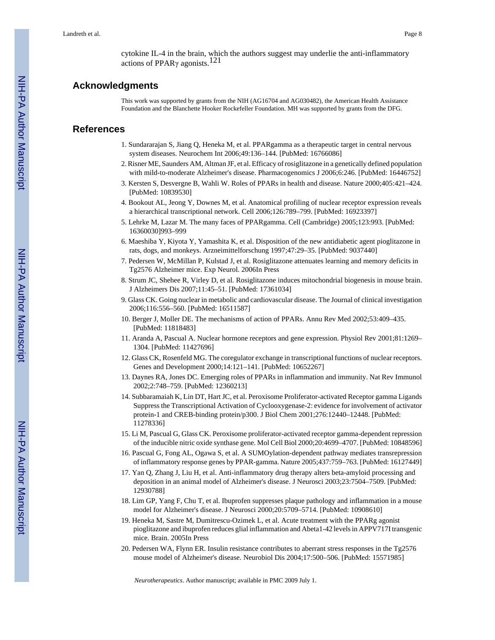cytokine IL-4 in the brain, which the authors suggest may underlie the anti-inflammatory actions of PPARγ agonists.121

#### **Acknowledgments**

This work was supported by grants from the NIH (AG16704 and AG030482), the American Health Assistance Foundation and the Blanchette Hooker Rockefeller Foundation. MH was supported by grants from the DFG.

## **References**

- 1. Sundararajan S, Jiang Q, Heneka M, et al. PPARgamma as a therapeutic target in central nervous system diseases. Neurochem Int 2006;49:136–144. [PubMed: 16766086]
- 2. Risner ME, Saunders AM, Altman JF, et al. Efficacy of rosiglitazone in a genetically defined population with mild-to-moderate Alzheimer's disease. Pharmacogenomics J 2006;6:246. [PubMed: 16446752]
- 3. Kersten S, Desvergne B, Wahli W. Roles of PPARs in health and disease. Nature 2000;405:421–424. [PubMed: 10839530]
- 4. Bookout AL, Jeong Y, Downes M, et al. Anatomical profiling of nuclear receptor expression reveals a hierarchical transcriptional network. Cell 2006;126:789–799. [PubMed: 16923397]
- 5. Lehrke M, Lazar M. The many faces of PPARgamma. Cell (Cambridge) 2005;123:993. [PubMed: 16360030]993–999
- 6. Maeshiba Y, Kiyota Y, Yamashita K, et al. Disposition of the new antidiabetic agent pioglitazone in rats, dogs, and monkeys. Arzneimittelforschung 1997;47:29–35. [PubMed: 9037440]
- 7. Pedersen W, McMillan P, Kulstad J, et al. Rosiglitazone attenuates learning and memory deficits in Tg2576 Alzheimer mice. Exp Neurol. 2006In Press
- 8. Strum JC, Shehee R, Virley D, et al. Rosiglitazone induces mitochondrial biogenesis in mouse brain. J Alzheimers Dis 2007;11:45–51. [PubMed: 17361034]
- 9. Glass CK. Going nuclear in metabolic and cardiovascular disease. The Journal of clinical investigation 2006;116:556–560. [PubMed: 16511587]
- 10. Berger J, Moller DE. The mechanisms of action of PPARs. Annu Rev Med 2002;53:409–435. [PubMed: 11818483]
- 11. Aranda A, Pascual A. Nuclear hormone receptors and gene expression. Physiol Rev 2001;81:1269– 1304. [PubMed: 11427696]
- 12. Glass CK, Rosenfeld MG. The coregulator exchange in transcriptional functions of nuclear receptors. Genes and Development 2000;14:121–141. [PubMed: 10652267]
- 13. Daynes RA, Jones DC. Emerging roles of PPARs in inflammation and immunity. Nat Rev Immunol 2002;2:748–759. [PubMed: 12360213]
- 14. Subbaramaiah K, Lin DT, Hart JC, et al. Peroxisome Proliferator-activated Receptor gamma Ligands Suppress the Transcriptional Activation of Cyclooxygenase-2: evidence for involvement of activator protein-1 and CREB-binding protein/p300. J Biol Chem 2001;276:12440–12448. [PubMed: 11278336]
- 15. Li M, Pascual G, Glass CK. Peroxisome proliferator-activated receptor gamma-dependent repression of the inducible nitric oxide synthase gene. Mol Cell Biol 2000;20:4699–4707. [PubMed: 10848596]
- 16. Pascual G, Fong AL, Ogawa S, et al. A SUMOylation-dependent pathway mediates transrepression of inflammatory response genes by PPAR-gamma. Nature 2005;437:759–763. [PubMed: 16127449]
- 17. Yan Q, Zhang J, Liu H, et al. Anti-inflammatory drug therapy alters beta-amyloid processing and deposition in an animal model of Alzheimer's disease. J Neurosci 2003;23:7504–7509. [PubMed: 12930788]
- 18. Lim GP, Yang F, Chu T, et al. Ibuprofen suppresses plaque pathology and inflammation in a mouse model for Alzheimer's disease. J Neurosci 2000;20:5709–5714. [PubMed: 10908610]
- 19. Heneka M, Sastre M, Dumitrescu-Ozimek L, et al. Acute treatment with the PPARg agonist pioglitazone and ibuprofen reduces glial inflammation and Abeta1-42 levels in APPV717I transgenic mice. Brain. 2005In Press
- 20. Pedersen WA, Flynn ER. Insulin resistance contributes to aberrant stress responses in the Tg2576 mouse model of Alzheimer's disease. Neurobiol Dis 2004;17:500–506. [PubMed: 15571985]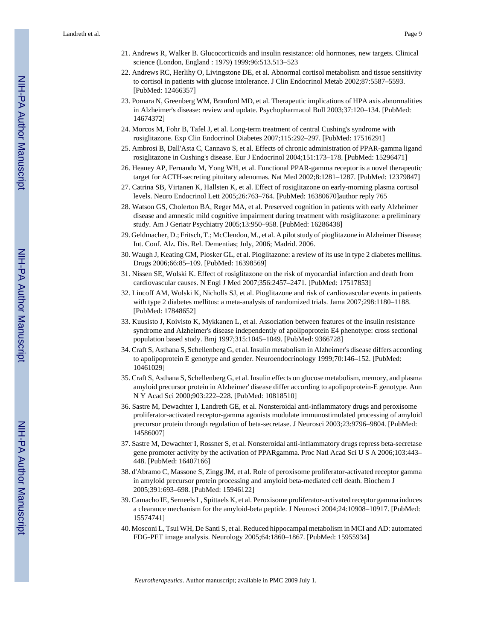- 21. Andrews R, Walker B. Glucocorticoids and insulin resistance: old hormones, new targets. Clinical science (London, England : 1979) 1999;96:513.513–523
- 22. Andrews RC, Herlihy O, Livingstone DE, et al. Abnormal cortisol metabolism and tissue sensitivity to cortisol in patients with glucose intolerance. J Clin Endocrinol Metab 2002;87:5587–5593. [PubMed: 12466357]
- 23. Pomara N, Greenberg WM, Branford MD, et al. Therapeutic implications of HPA axis abnormalities in Alzheimer's disease: review and update. Psychopharmacol Bull 2003;37:120–134. [PubMed: 14674372]
- 24. Morcos M, Fohr B, Tafel J, et al. Long-term treatment of central Cushing's syndrome with rosiglitazone. Exp Clin Endocrinol Diabetes 2007;115:292–297. [PubMed: 17516291]
- 25. Ambrosi B, Dall'Asta C, Cannavo S, et al. Effects of chronic administration of PPAR-gamma ligand rosiglitazone in Cushing's disease. Eur J Endocrinol 2004;151:173–178. [PubMed: 15296471]
- 26. Heaney AP, Fernando M, Yong WH, et al. Functional PPAR-gamma receptor is a novel therapeutic target for ACTH-secreting pituitary adenomas. Nat Med 2002;8:1281–1287. [PubMed: 12379847]
- 27. Catrina SB, Virtanen K, Hallsten K, et al. Effect of rosiglitazone on early-morning plasma cortisol levels. Neuro Endocrinol Lett 2005;26:763–764. [PubMed: 16380670]author reply 765
- 28. Watson GS, Cholerton BA, Reger MA, et al. Preserved cognition in patients with early Alzheimer disease and amnestic mild cognitive impairment during treatment with rosiglitazone: a preliminary study. Am J Geriatr Psychiatry 2005;13:950–958. [PubMed: 16286438]
- 29. Geldmacher, D.; Fritsch, T.; McClendon, M., et al. A pilot study of pioglitazone in Alzheimer Disease; Int. Conf. Alz. Dis. Rel. Dementias; July, 2006; Madrid. 2006.
- 30. Waugh J, Keating GM, Plosker GL, et al. Pioglitazone: a review of its use in type 2 diabetes mellitus. Drugs 2006;66:85–109. [PubMed: 16398569]
- 31. Nissen SE, Wolski K. Effect of rosiglitazone on the risk of myocardial infarction and death from cardiovascular causes. N Engl J Med 2007;356:2457–2471. [PubMed: 17517853]
- 32. Lincoff AM, Wolski K, Nicholls SJ, et al. Pioglitazone and risk of cardiovascular events in patients with type 2 diabetes mellitus: a meta-analysis of randomized trials. Jama 2007;298:1180–1188. [PubMed: 17848652]
- 33. Kuusisto J, Koivisto K, Mykkanen L, et al. Association between features of the insulin resistance syndrome and Alzheimer's disease independently of apolipoprotein E4 phenotype: cross sectional population based study. Bmj 1997;315:1045–1049. [PubMed: 9366728]
- 34. Craft S, Asthana S, Schellenberg G, et al. Insulin metabolism in Alzheimer's disease differs according to apolipoprotein E genotype and gender. Neuroendocrinology 1999;70:146–152. [PubMed: 10461029]
- 35. Craft S, Asthana S, Schellenberg G, et al. Insulin effects on glucose metabolism, memory, and plasma amyloid precursor protein in Alzheimer' disease differ according to apolipoprotein-E genotype. Ann N Y Acad Sci 2000;903:222–228. [PubMed: 10818510]
- 36. Sastre M, Dewachter I, Landreth GE, et al. Nonsteroidal anti-inflammatory drugs and peroxisome proliferator-activated receptor-gamma agonists modulate immunostimulated processing of amyloid precursor protein through regulation of beta-secretase. J Neurosci 2003;23:9796–9804. [PubMed: 14586007]
- 37. Sastre M, Dewachter I, Rossner S, et al. Nonsteroidal anti-inflammatory drugs repress beta-secretase gene promoter activity by the activation of PPARgamma. Proc Natl Acad Sci U S A 2006;103:443– 448. [PubMed: 16407166]
- 38. d'Abramo C, Massone S, Zingg JM, et al. Role of peroxisome proliferator-activated receptor gamma in amyloid precursor protein processing and amyloid beta-mediated cell death. Biochem J 2005;391:693–698. [PubMed: 15946122]
- 39. Camacho IE, Serneels L, Spittaels K, et al. Peroxisome proliferator-activated receptor gamma induces a clearance mechanism for the amyloid-beta peptide. J Neurosci 2004;24:10908–10917. [PubMed: 15574741]
- 40. Mosconi L, Tsui WH, De Santi S, et al. Reduced hippocampal metabolism in MCI and AD: automated FDG-PET image analysis. Neurology 2005;64:1860–1867. [PubMed: 15955934]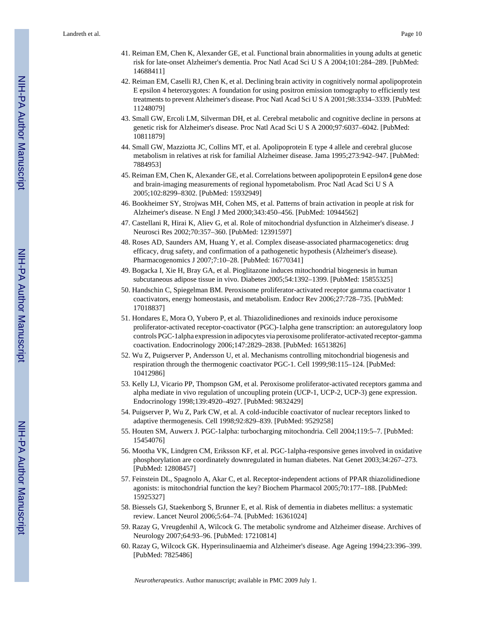- 41. Reiman EM, Chen K, Alexander GE, et al. Functional brain abnormalities in young adults at genetic risk for late-onset Alzheimer's dementia. Proc Natl Acad Sci U S A 2004;101:284–289. [PubMed: 14688411]
- 42. Reiman EM, Caselli RJ, Chen K, et al. Declining brain activity in cognitively normal apolipoprotein E epsilon 4 heterozygotes: A foundation for using positron emission tomography to efficiently test treatments to prevent Alzheimer's disease. Proc Natl Acad Sci U S A 2001;98:3334–3339. [PubMed: 11248079]
- 43. Small GW, Ercoli LM, Silverman DH, et al. Cerebral metabolic and cognitive decline in persons at genetic risk for Alzheimer's disease. Proc Natl Acad Sci U S A 2000;97:6037–6042. [PubMed: 10811879]
- 44. Small GW, Mazziotta JC, Collins MT, et al. Apolipoprotein E type 4 allele and cerebral glucose metabolism in relatives at risk for familial Alzheimer disease. Jama 1995;273:942–947. [PubMed: 7884953]
- 45. Reiman EM, Chen K, Alexander GE, et al. Correlations between apolipoprotein E epsilon4 gene dose and brain-imaging measurements of regional hypometabolism. Proc Natl Acad Sci U S A 2005;102:8299–8302. [PubMed: 15932949]
- 46. Bookheimer SY, Strojwas MH, Cohen MS, et al. Patterns of brain activation in people at risk for Alzheimer's disease. N Engl J Med 2000;343:450–456. [PubMed: 10944562]
- 47. Castellani R, Hirai K, Aliev G, et al. Role of mitochondrial dysfunction in Alzheimer's disease. J Neurosci Res 2002;70:357–360. [PubMed: 12391597]
- 48. Roses AD, Saunders AM, Huang Y, et al. Complex disease-associated pharmacogenetics: drug efficacy, drug safety, and confirmation of a pathogenetic hypothesis (Alzheimer's disease). Pharmacogenomics J 2007;7:10–28. [PubMed: 16770341]
- 49. Bogacka I, Xie H, Bray GA, et al. Pioglitazone induces mitochondrial biogenesis in human subcutaneous adipose tissue in vivo. Diabetes 2005;54:1392–1399. [PubMed: 15855325]
- 50. Handschin C, Spiegelman BM. Peroxisome proliferator-activated receptor gamma coactivator 1 coactivators, energy homeostasis, and metabolism. Endocr Rev 2006;27:728–735. [PubMed: 17018837]
- 51. Hondares E, Mora O, Yubero P, et al. Thiazolidinediones and rexinoids induce peroxisome proliferator-activated receptor-coactivator (PGC)-1alpha gene transcription: an autoregulatory loop controls PGC-1alpha expression in adipocytes via peroxisome proliferator-activated receptor-gamma coactivation. Endocrinology 2006;147:2829–2838. [PubMed: 16513826]
- 52. Wu Z, Puigserver P, Andersson U, et al. Mechanisms controlling mitochondrial biogenesis and respiration through the thermogenic coactivator PGC-1. Cell 1999;98:115–124. [PubMed: 10412986]
- 53. Kelly LJ, Vicario PP, Thompson GM, et al. Peroxisome proliferator-activated receptors gamma and alpha mediate in vivo regulation of uncoupling protein (UCP-1, UCP-2, UCP-3) gene expression. Endocrinology 1998;139:4920–4927. [PubMed: 9832429]
- 54. Puigserver P, Wu Z, Park CW, et al. A cold-inducible coactivator of nuclear receptors linked to adaptive thermogenesis. Cell 1998;92:829–839. [PubMed: 9529258]
- 55. Houten SM, Auwerx J. PGC-1alpha: turbocharging mitochondria. Cell 2004;119:5–7. [PubMed: 15454076]
- 56. Mootha VK, Lindgren CM, Eriksson KF, et al. PGC-1alpha-responsive genes involved in oxidative phosphorylation are coordinately downregulated in human diabetes. Nat Genet 2003;34:267–273. [PubMed: 12808457]
- 57. Feinstein DL, Spagnolo A, Akar C, et al. Receptor-independent actions of PPAR thiazolidinedione agonists: is mitochondrial function the key? Biochem Pharmacol 2005;70:177–188. [PubMed: 15925327]
- 58. Biessels GJ, Staekenborg S, Brunner E, et al. Risk of dementia in diabetes mellitus: a systematic review. Lancet Neurol 2006;5:64–74. [PubMed: 16361024]
- 59. Razay G, Vreugdenhil A, Wilcock G. The metabolic syndrome and Alzheimer disease. Archives of Neurology 2007;64:93–96. [PubMed: 17210814]
- 60. Razay G, Wilcock GK. Hyperinsulinaemia and Alzheimer's disease. Age Ageing 1994;23:396–399. [PubMed: 7825486]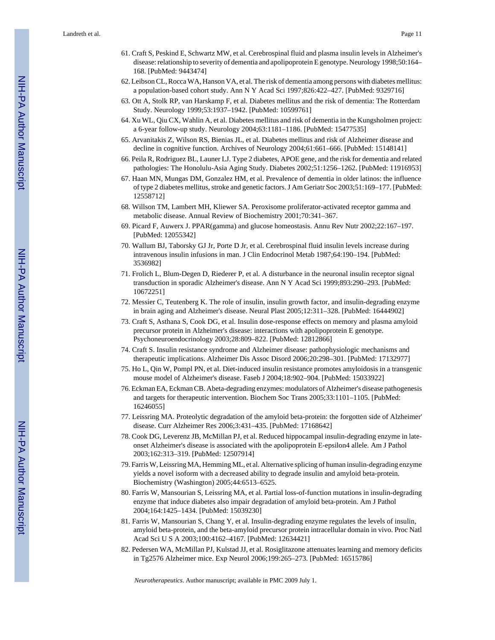- 61. Craft S, Peskind E, Schwartz MW, et al. Cerebrospinal fluid and plasma insulin levels in Alzheimer's disease: relationship to severity of dementia and apolipoprotein E genotype. Neurology 1998;50:164– 168. [PubMed: 9443474]
- 62. Leibson CL, Rocca WA, Hanson VA, et al. The risk of dementia among persons with diabetes mellitus: a population-based cohort study. Ann N Y Acad Sci 1997;826:422–427. [PubMed: 9329716]
- 63. Ott A, Stolk RP, van Harskamp F, et al. Diabetes mellitus and the risk of dementia: The Rotterdam Study. Neurology 1999;53:1937–1942. [PubMed: 10599761]
- 64. Xu WL, Qiu CX, Wahlin A, et al. Diabetes mellitus and risk of dementia in the Kungsholmen project: a 6-year follow-up study. Neurology 2004;63:1181–1186. [PubMed: 15477535]
- 65. Arvanitakis Z, Wilson RS, Bienias JL, et al. Diabetes mellitus and risk of Alzheimer disease and decline in cognitive function. Archives of Neurology 2004;61:661–666. [PubMed: 15148141]
- 66. Peila R, Rodriguez BL, Launer LJ. Type 2 diabetes, APOE gene, and the risk for dementia and related pathologies: The Honolulu-Asia Aging Study. Diabetes 2002;51:1256–1262. [PubMed: 11916953]
- 67. Haan MN, Mungas DM, Gonzalez HM, et al. Prevalence of dementia in older latinos: the influence of type 2 diabetes mellitus, stroke and genetic factors. J Am Geriatr Soc 2003;51:169–177. [PubMed: 12558712]
- 68. Willson TM, Lambert MH, Kliewer SA. Peroxisome proliferator-activated receptor gamma and metabolic disease. Annual Review of Biochemistry 2001;70:341–367.
- 69. Picard F, Auwerx J. PPAR(gamma) and glucose homeostasis. Annu Rev Nutr 2002;22:167–197. [PubMed: 12055342]
- 70. Wallum BJ, Taborsky GJ Jr, Porte D Jr, et al. Cerebrospinal fluid insulin levels increase during intravenous insulin infusions in man. J Clin Endocrinol Metab 1987;64:190–194. [PubMed: 3536982]
- 71. Frolich L, Blum-Degen D, Riederer P, et al. A disturbance in the neuronal insulin receptor signal transduction in sporadic Alzheimer's disease. Ann N Y Acad Sci 1999;893:290–293. [PubMed: 10672251]
- 72. Messier C, Teutenberg K. The role of insulin, insulin growth factor, and insulin-degrading enzyme in brain aging and Alzheimer's disease. Neural Plast 2005;12:311–328. [PubMed: 16444902]
- 73. Craft S, Asthana S, Cook DG, et al. Insulin dose-response effects on memory and plasma amyloid precursor protein in Alzheimer's disease: interactions with apolipoprotein E genotype. Psychoneuroendocrinology 2003;28:809–822. [PubMed: 12812866]
- 74. Craft S. Insulin resistance syndrome and Alzheimer disease: pathophysiologic mechanisms and therapeutic implications. Alzheimer Dis Assoc Disord 2006;20:298–301. [PubMed: 17132977]
- 75. Ho L, Qin W, Pompl PN, et al. Diet-induced insulin resistance promotes amyloidosis in a transgenic mouse model of Alzheimer's disease. Faseb J 2004;18:902–904. [PubMed: 15033922]
- 76. Eckman EA, Eckman CB. Abeta-degrading enzymes: modulators of Alzheimer's disease pathogenesis and targets for therapeutic intervention. Biochem Soc Trans 2005;33:1101–1105. [PubMed: 16246055]
- 77. Leissring MA. Proteolytic degradation of the amyloid beta-protein: the forgotten side of Alzheimer' disease. Curr Alzheimer Res 2006;3:431–435. [PubMed: 17168642]
- 78. Cook DG, Leverenz JB, McMillan PJ, et al. Reduced hippocampal insulin-degrading enzyme in lateonset Alzheimer's disease is associated with the apolipoprotein E-epsilon4 allele. Am J Pathol 2003;162:313–319. [PubMed: 12507914]
- 79. Farris W, Leissring MA, Hemming ML, et al. Alternative splicing of human insulin-degrading enzyme yields a novel isoform with a decreased ability to degrade insulin and amyloid beta-protein. Biochemistry (Washington) 2005;44:6513–6525.
- 80. Farris W, Mansourian S, Leissring MA, et al. Partial loss-of-function mutations in insulin-degrading enzyme that induce diabetes also impair degradation of amyloid beta-protein. Am J Pathol 2004;164:1425–1434. [PubMed: 15039230]
- 81. Farris W, Mansourian S, Chang Y, et al. Insulin-degrading enzyme regulates the levels of insulin, amyloid beta-protein, and the beta-amyloid precursor protein intracellular domain in vivo. Proc Natl Acad Sci U S A 2003;100:4162–4167. [PubMed: 12634421]
- 82. Pedersen WA, McMillan PJ, Kulstad JJ, et al. Rosiglitazone attenuates learning and memory deficits in Tg2576 Alzheimer mice. Exp Neurol 2006;199:265–273. [PubMed: 16515786]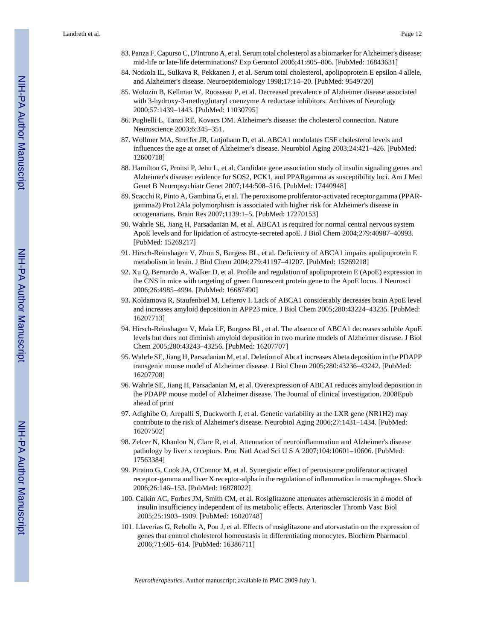- 83. Panza F, Capurso C, D'Introno A, et al. Serum total cholesterol as a biomarker for Alzheimer's disease: mid-life or late-life determinations? Exp Gerontol 2006;41:805–806. [PubMed: 16843631]
- 84. Notkola IL, Sulkava R, Pekkanen J, et al. Serum total cholesterol, apolipoprotein E epsilon 4 allele, and Alzheimer's disease. Neuroepidemiology 1998;17:14–20. [PubMed: 9549720]
- 85. Wolozin B, Kellman W, Ruosseau P, et al. Decreased prevalence of Alzheimer disease associated with 3-hydroxy-3-methyglutaryl coenzyme A reductase inhibitors. Archives of Neurology 2000;57:1439–1443. [PubMed: 11030795]
- 86. Puglielli L, Tanzi RE, Kovacs DM. Alzheimer's disease: the cholesterol connection. Nature Neuroscience 2003;6:345–351.
- 87. Wollmer MA, Streffer JR, Lutjohann D, et al. ABCA1 modulates CSF cholesterol levels and influences the age at onset of Alzheimer's disease. Neurobiol Aging 2003;24:421–426. [PubMed: 12600718]
- 88. Hamilton G, Proitsi P, Jehu L, et al. Candidate gene association study of insulin signaling genes and Alzheimer's disease: evidence for SOS2, PCK1, and PPARgamma as susceptibility loci. Am J Med Genet B Neuropsychiatr Genet 2007;144:508–516. [PubMed: 17440948]
- 89. Scacchi R, Pinto A, Gambina G, et al. The peroxisome proliferator-activated receptor gamma (PPARgamma2) Pro12Ala polymorphism is associated with higher risk for Alzheimer's disease in octogenarians. Brain Res 2007;1139:1–5. [PubMed: 17270153]
- 90. Wahrle SE, Jiang H, Parsadanian M, et al. ABCA1 is required for normal central nervous system ApoE levels and for lipidation of astrocyte-secreted apoE. J Biol Chem 2004;279:40987–40993. [PubMed: 15269217]
- 91. Hirsch-Reinshagen V, Zhou S, Burgess BL, et al. Deficiency of ABCA1 impairs apolipoprotein E metabolism in brain. J Biol Chem 2004;279:41197–41207. [PubMed: 15269218]
- 92. Xu Q, Bernardo A, Walker D, et al. Profile and regulation of apolipoprotein E (ApoE) expression in the CNS in mice with targeting of green fluorescent protein gene to the ApoE locus. J Neurosci 2006;26:4985–4994. [PubMed: 16687490]
- 93. Koldamova R, Staufenbiel M, Lefterov I. Lack of ABCA1 considerably decreases brain ApoE level and increases amyloid deposition in APP23 mice. J Biol Chem 2005;280:43224–43235. [PubMed: 16207713]
- 94. Hirsch-Reinshagen V, Maia LF, Burgess BL, et al. The absence of ABCA1 decreases soluble ApoE levels but does not diminish amyloid deposition in two murine models of Alzheimer disease. J Biol Chem 2005;280:43243–43256. [PubMed: 16207707]
- 95. Wahrle SE, Jiang H, Parsadanian M, et al. Deletion of Abca1 increases Abeta deposition in the PDAPP transgenic mouse model of Alzheimer disease. J Biol Chem 2005;280:43236–43242. [PubMed: 16207708]
- 96. Wahrle SE, Jiang H, Parsadanian M, et al. Overexpression of ABCA1 reduces amyloid deposition in the PDAPP mouse model of Alzheimer disease. The Journal of clinical investigation. 2008Epub ahead of print
- 97. Adighibe O, Arepalli S, Duckworth J, et al. Genetic variability at the LXR gene (NR1H2) may contribute to the risk of Alzheimer's disease. Neurobiol Aging 2006;27:1431–1434. [PubMed: 16207502]
- 98. Zelcer N, Khanlou N, Clare R, et al. Attenuation of neuroinflammation and Alzheimer's disease pathology by liver x receptors. Proc Natl Acad Sci U S A 2007;104:10601–10606. [PubMed: 17563384]
- 99. Piraino G, Cook JA, O'Connor M, et al. Synergistic effect of peroxisome proliferator activated receptor-gamma and liver X receptor-alpha in the regulation of inflammation in macrophages. Shock 2006;26:146–153. [PubMed: 16878022]
- 100. Calkin AC, Forbes JM, Smith CM, et al. Rosiglitazone attenuates atherosclerosis in a model of insulin insufficiency independent of its metabolic effects. Arterioscler Thromb Vasc Biol 2005;25:1903–1909. [PubMed: 16020748]
- 101. Llaverias G, Rebollo A, Pou J, et al. Effects of rosiglitazone and atorvastatin on the expression of genes that control cholesterol homeostasis in differentiating monocytes. Biochem Pharmacol 2006;71:605–614. [PubMed: 16386711]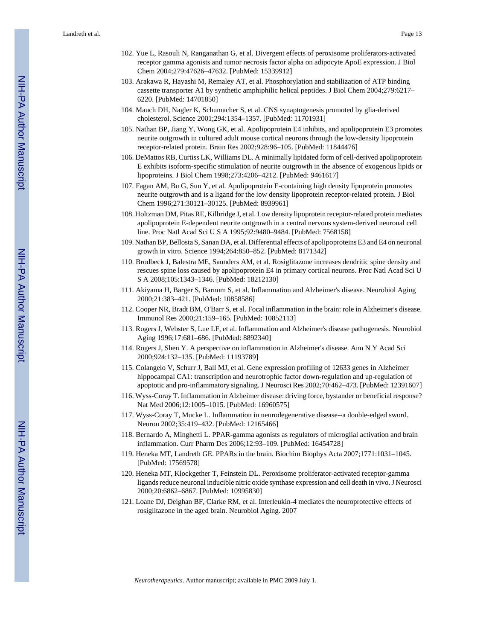- 102. Yue L, Rasouli N, Ranganathan G, et al. Divergent effects of peroxisome proliferators-activated receptor gamma agonists and tumor necrosis factor alpha on adipocyte ApoE expression. J Biol Chem 2004;279:47626–47632. [PubMed: 15339912]
- 103. Arakawa R, Hayashi M, Remaley AT, et al. Phosphorylation and stabilization of ATP binding cassette transporter A1 by synthetic amphiphilic helical peptides. J Biol Chem 2004;279:6217– 6220. [PubMed: 14701850]
- 104. Mauch DH, Nagler K, Schumacher S, et al. CNS synaptogenesis promoted by glia-derived cholesterol. Science 2001;294:1354–1357. [PubMed: 11701931]
- 105. Nathan BP, Jiang Y, Wong GK, et al. Apolipoprotein E4 inhibits, and apolipoprotein E3 promotes neurite outgrowth in cultured adult mouse cortical neurons through the low-density lipoprotein receptor-related protein. Brain Res 2002;928:96–105. [PubMed: 11844476]
- 106. DeMattos RB, Curtiss LK, Williams DL. A minimally lipidated form of cell-derived apolipoprotein E exhibits isoform-specific stimulation of neurite outgrowth in the absence of exogenous lipids or lipoproteins. J Biol Chem 1998;273:4206–4212. [PubMed: 9461617]
- 107. Fagan AM, Bu G, Sun Y, et al. Apolipoprotein E-containing high density lipoprotein promotes neurite outgrowth and is a ligand for the low density lipoprotein receptor-related protein. J Biol Chem 1996;271:30121–30125. [PubMed: 8939961]
- 108. Holtzman DM, Pitas RE, Kilbridge J, et al. Low density lipoprotein receptor-related protein mediates apolipoprotein E-dependent neurite outgrowth in a central nervous system-derived neuronal cell line. Proc Natl Acad Sci U S A 1995;92:9480–9484. [PubMed: 7568158]
- 109. Nathan BP, Bellosta S, Sanan DA, et al. Differential effects of apolipoproteins E3 and E4 on neuronal growth in vitro. Science 1994;264:850–852. [PubMed: 8171342]
- 110. Brodbeck J, Balestra ME, Saunders AM, et al. Rosiglitazone increases dendritic spine density and rescues spine loss caused by apolipoprotein E4 in primary cortical neurons. Proc Natl Acad Sci U S A 2008;105:1343–1346. [PubMed: 18212130]
- 111. Akiyama H, Barger S, Barnum S, et al. Inflammation and Alzheimer's disease. Neurobiol Aging 2000;21:383–421. [PubMed: 10858586]
- 112. Cooper NR, Bradt BM, O'Barr S, et al. Focal inflammation in the brain: role in Alzheimer's disease. Immunol Res 2000;21:159–165. [PubMed: 10852113]
- 113. Rogers J, Webster S, Lue LF, et al. Inflammation and Alzheimer's disease pathogenesis. Neurobiol Aging 1996;17:681–686. [PubMed: 8892340]
- 114. Rogers J, Shen Y. A perspective on inflammation in Alzheimer's disease. Ann N Y Acad Sci 2000;924:132–135. [PubMed: 11193789]
- 115. Colangelo V, Schurr J, Ball MJ, et al. Gene expression profiling of 12633 genes in Alzheimer hippocampal CA1: transcription and neurotrophic factor down-regulation and up-regulation of apoptotic and pro-inflammatory signaling. J Neurosci Res 2002;70:462–473. [PubMed: 12391607]
- 116. Wyss-Coray T. Inflammation in Alzheimer disease: driving force, bystander or beneficial response? Nat Med 2006;12:1005–1015. [PubMed: 16960575]
- 117. Wyss-Coray T, Mucke L. Inflammation in neurodegenerative disease--a double-edged sword. Neuron 2002;35:419–432. [PubMed: 12165466]
- 118. Bernardo A, Minghetti L. PPAR-gamma agonists as regulators of microglial activation and brain inflammation. Curr Pharm Des 2006;12:93–109. [PubMed: 16454728]
- 119. Heneka MT, Landreth GE. PPARs in the brain. Biochim Biophys Acta 2007;1771:1031–1045. [PubMed: 17569578]
- 120. Heneka MT, Klockgether T, Feinstein DL. Peroxisome proliferator-activated receptor-gamma ligands reduce neuronal inducible nitric oxide synthase expression and cell death in vivo. J Neurosci 2000;20:6862–6867. [PubMed: 10995830]
- 121. Loane DJ, Deighan BF, Clarke RM, et al. Interleukin-4 mediates the neuroprotective effects of rosiglitazone in the aged brain. Neurobiol Aging. 2007